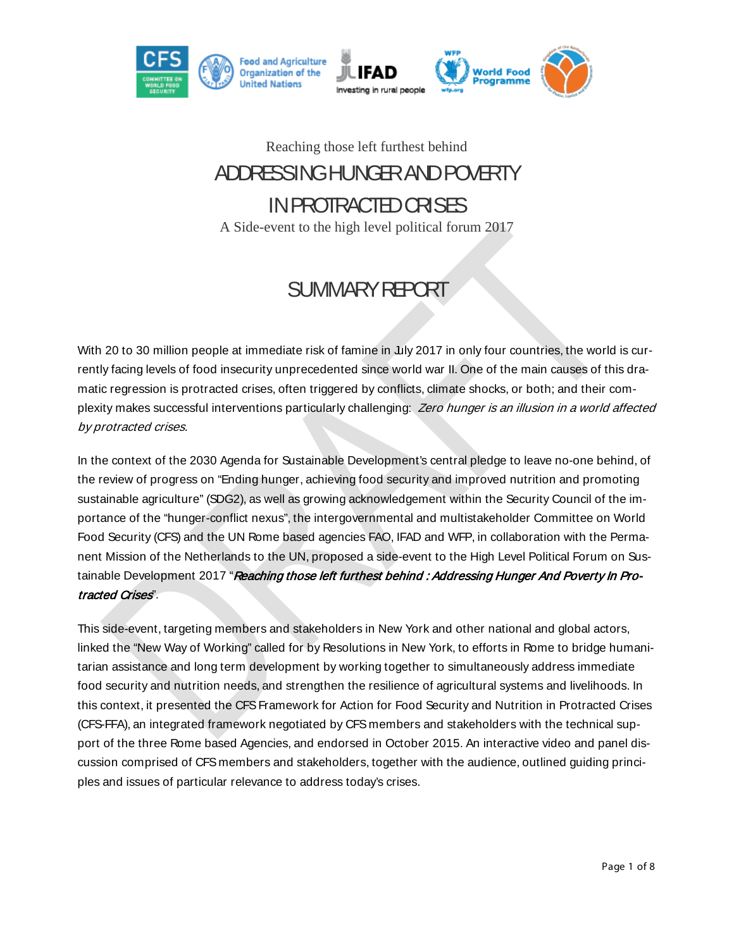

#### Reaching those left furthest behind

# ADDRESSING HUNGER AND POVERTY IN PROTRACTED CRISES

A Side-event to the high level political forum 2017

## SUMMARY REPORT

With 20 to 30 million people at immediate risk of famine in July 2017 in only four countries, the world is currently facing levels of food insecurity unprecedented since world war II. One of the main causes of this dramatic regression is protracted crises, often triggered by conflicts, climate shocks, or both; and their complexity makes successful interventions particularly challenging: Zero hunger is an illusion in a world affected by protracted crises.

In the context of the 2030 Agenda for Sustainable Development's central pledge to leave no-one behind, of the review of progress on "Ending hunger, achieving food security and improved nutrition and promoting sustainable agriculture" (SDG2), as well as growing acknowledgement within the Security Council of the importance of the "hunger-conflict nexus", the intergovernmental and multistakeholder Committee on World Food Security (CFS) and the UN Rome based agencies FAO, IFAD and WFP, in collaboration with the Permanent Mission of the Netherlands to the UN, proposed a side-event to the High Level Political Forum on Sustainable Development 2017 "Reaching those left furthest behind : Addressing Hunger And Poverty In Protracted Crises".

This side-event, targeting members and stakeholders in New York and other national and global actors, linked the "New Way of Working" called for by Resolutions in New York, to efforts in Rome to bridge humanitarian assistance and long term development by working together to simultaneously address immediate food security and nutrition needs, and strengthen the resilience of agricultural systems and livelihoods. In this context, it presented the CFS Framework for Action for Food Security and Nutrition in Protracted Crises (CFS-FFA), an integrated framework negotiated by CFS members and stakeholders with the technical support of the three Rome based Agencies, and endorsed in October 2015. An interactive video and panel discussion comprised of CFS members and stakeholders, together with the audience, outlined guiding principles and issues of particular relevance to address today's crises.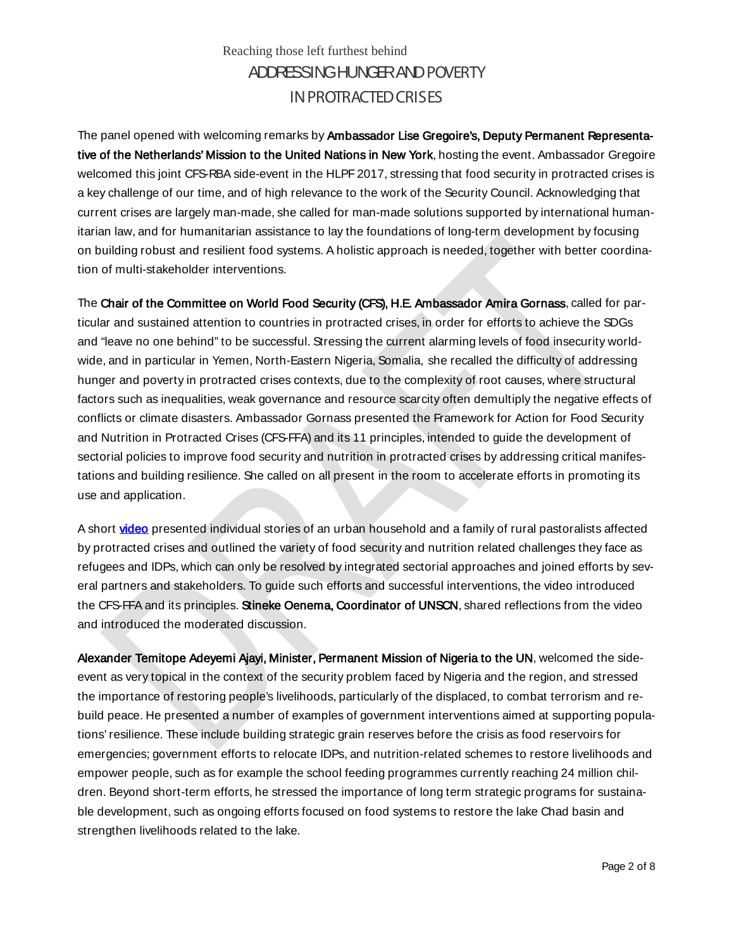The panel opened with welcoming remarks by Ambassador Lise Gregoire's, Deputy Permanent Representative of the Netherlands' Mission to the United Nations in New York, hosting the event. Ambassador Gregoire welcomed this joint CFS-RBA side-event in the HLPF 2017, stressing that food security in protracted crises is a key challenge of our time, and of high relevance to the work of the Security Council. Acknowledging that current crises are largely man-made, she called for man-made solutions supported by international humanitarian law, and for humanitarian assistance to lay the foundations of long-term development by focusing on building robust and resilient food systems. A holistic approach is needed, together with better coordination of multi-stakeholder interventions.

The Chair of the Committee on World Food Security (CFS), H.E. Ambassador Amira Gornass, called for particular and sustained attention to countries in protracted crises, in order for efforts to achieve the SDGs and "leave no one behind" to be successful. Stressing the current alarming levels of food insecurity worldwide, and in particular in Yemen, North-Eastern Nigeria, Somalia, she recalled the difficulty of addressing hunger and poverty in protracted crises contexts, due to the complexity of root causes, where structural factors such as inequalities, weak governance and resource scarcity often demultiply the negative effects of conflicts or climate disasters. Ambassador Gornass presented the Framework for Action for Food Security and Nutrition in Protracted Crises (CFS-FFA) and its 11 principles, intended to guide the development of sectorial policies to improve food security and nutrition in protracted crises by addressing critical manifestations and building resilience. She called on all present in the room to accelerate efforts in promoting its use and application.

A short [video](https://youtu.be/4OtpsEiIEJ8) presented individual stories of an urban household and a family of rural pastoralists affected by protracted crises and outlined the variety of food security and nutrition related challenges they face as refugees and IDPs, which can only be resolved by integrated sectorial approaches and joined efforts by several partners and stakeholders. To guide such efforts and successful interventions, the video introduced the CFS-FFA and its principles. Stineke Oenema, Coordinator of UNSCN, shared reflections from the video and introduced the moderated discussion.

Alexander Temitope Adeyemi Ajayi, Minister, Permanent Mission of Nigeria to the UN, welcomed the sideevent as very topical in the context of the security problem faced by Nigeria and the region, and stressed the importance of restoring people's livelihoods, particularly of the displaced, to combat terrorism and rebuild peace. He presented a number of examples of government interventions aimed at supporting populations' resilience. These include building strategic grain reserves before the crisis as food reservoirs for emergencies; government efforts to relocate IDPs, and nutrition-related schemes to restore livelihoods and empower people, such as for example the school feeding programmes currently reaching 24 million children. Beyond short-term efforts, he stressed the importance of long term strategic programs for sustainable development, such as ongoing efforts focused on food systems to restore the lake Chad basin and strengthen livelihoods related to the lake.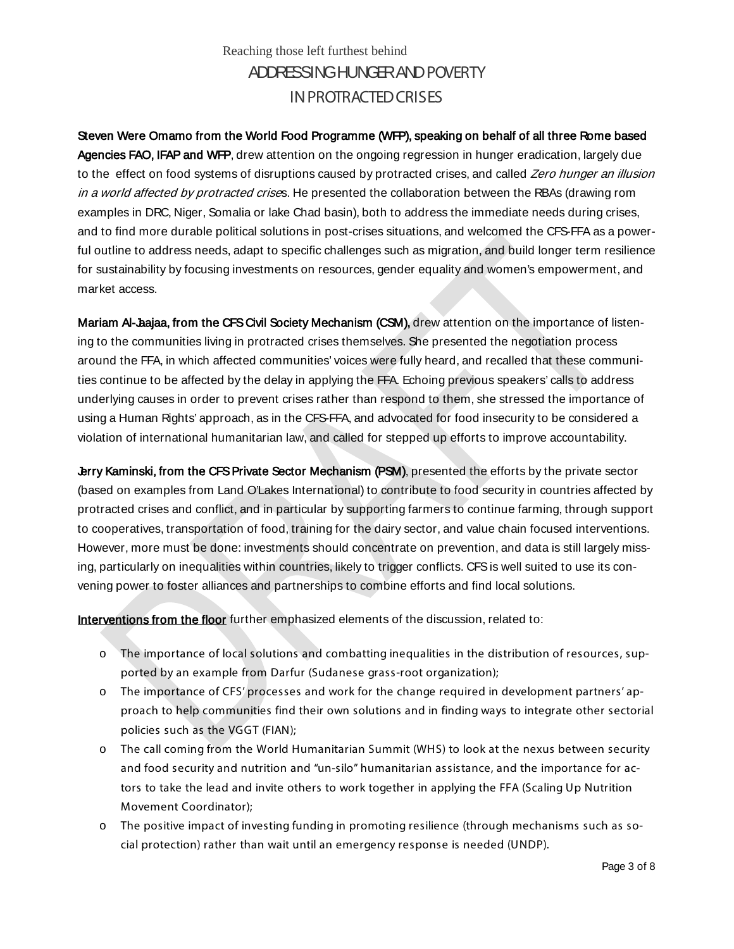Steven Were Omamo from the World Food Programme (WFP), speaking on behalf of all three Rome based Agencies FAO, IFAP and WFP, drew attention on the ongoing regression in hunger eradication, largely due to the effect on food systems of disruptions caused by protracted crises, and called Zero hunger an illusion in a world affected by protracted crises. He presented the collaboration between the RBAs (drawing rom examples in DRC, Niger, Somalia or lake Chad basin), both to address the immediate needs during crises, and to find more durable political solutions in post-crises situations, and welcomed the CFS-FFA as a powerful outline to address needs, adapt to specific challenges such as migration, and build longer term resilience for sustainability by focusing investments on resources, gender equality and women's empowerment, and market access.

Mariam Al-Jaajaa, from the CFS Civil Society Mechanism (CSM), drew attention on the importance of listening to the communities living in protracted crises themselves. She presented the negotiation process around the FFA, in which affected communities' voices were fully heard, and recalled that these communities continue to be affected by the delay in applying the FFA. Echoing previous speakers' calls to address underlying causes in order to prevent crises rather than respond to them, she stressed the importance of using a Human Rights' approach, as in the CFS-FFA, and advocated for food insecurity to be considered a violation of international humanitarian law, and called for stepped up efforts to improve accountability.

Jerry Kaminski, from the CFS Private Sector Mechanism (PSM), presented the efforts by the private sector (based on examples from Land O'Lakes International) to contribute to food security in countries affected by protracted crises and conflict, and in particular by supporting farmers to continue farming, through support to cooperatives, transportation of food, training for the dairy sector, and value chain focused interventions. However, more must be done: investments should concentrate on prevention, and data is still largely missing, particularly on inequalities within countries, likely to trigger conflicts. CFS is well suited to use its convening power to foster alliances and partnerships to combine efforts and find local solutions.

Interventions from the floor further emphasized elements of the discussion, related to:

- o The importance of local solutions and combatting inequalities in the distribution of resources, supported by an example from Darfur (Sudanese grass-root organization);
- o The importance of CFS' processes and work for the change required in development partners' approach to help communities find their own solutions and in finding ways to integrate other sectorial policies such as the VGGT (FIAN);
- o The call coming from the World Humanitarian Summit (WHS) to look at the nexus between security and food security and nutrition and "un-silo" humanitarian assistance, and the importance for actors to take the lead and invite others to work together in applying the FFA (Scaling Up Nutrition Movement Coordinator);
- o The positive impact of investing funding in promoting resilience (through mechanisms such as social protection) rather than wait until an emergency response is needed (UNDP).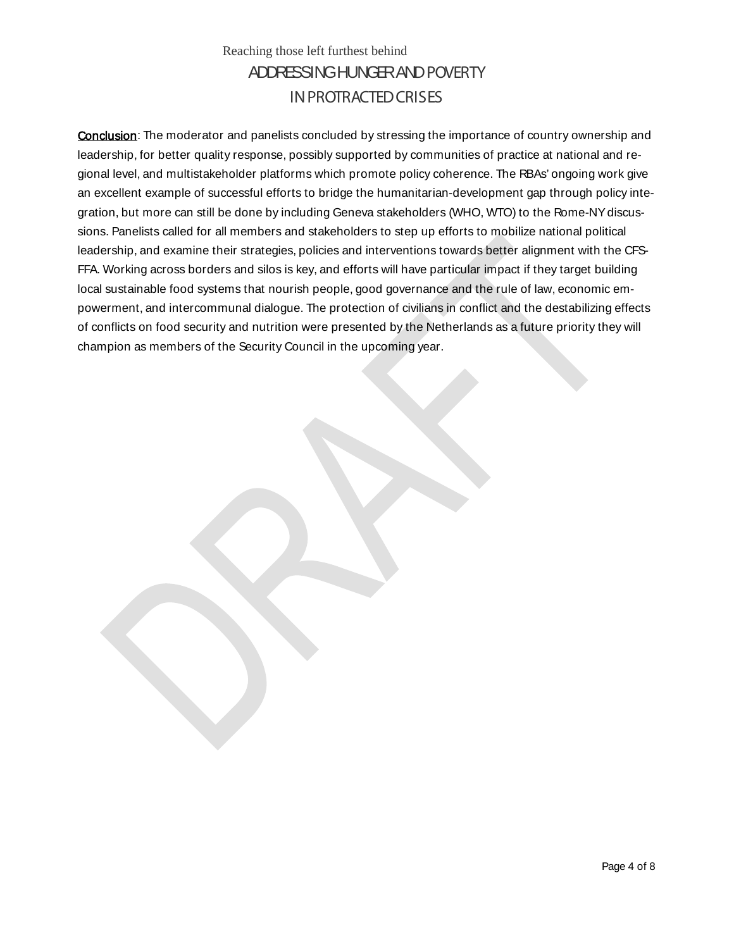**Conclusion:** The moderator and panelists concluded by stressing the importance of country ownership and leadership, for better quality response, possibly supported by communities of practice at national and regional level, and multistakeholder platforms which promote policy coherence. The RBAs' ongoing work give an excellent example of successful efforts to bridge the humanitarian-development gap through policy integration, but more can still be done by including Geneva stakeholders (WHO, WTO) to the Rome-NY discussions. Panelists called for all members and stakeholders to step up efforts to mobilize national political leadership, and examine their strategies, policies and interventions towards better alignment with the CFS-FFA. Working across borders and silos is key, and efforts will have particular impact if they target building local sustainable food systems that nourish people, good governance and the rule of law, economic empowerment, and intercommunal dialogue. The protection of civilians in conflict and the destabilizing effects of conflicts on food security and nutrition were presented by the Netherlands as a future priority they will champion as members of the Security Council in the upcoming year.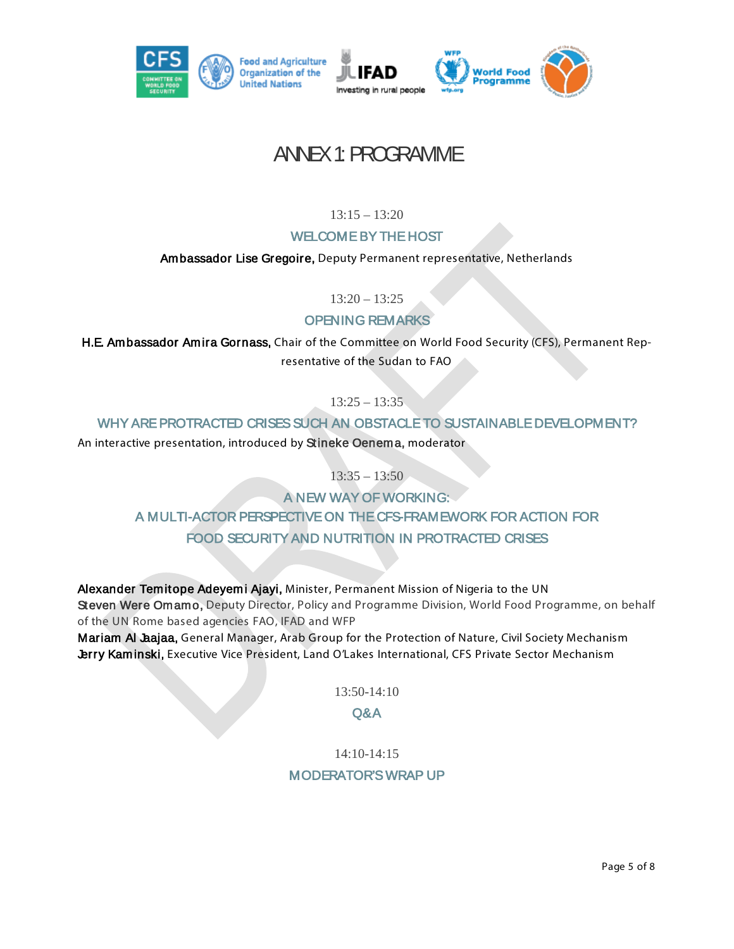

## ANNEX 1: PROGRAMME

 $13:15 - 13:20$ 

#### WELCOME BY THE HOST

Ambassador Lise Gregoire, Deputy Permanent representative, Netherlands

 $13:20 - 13:25$ 

#### OPENING REMARKS

H.E. Ambassador Amira Gornass, Chair of the Committee on World Food Security (CFS), Permanent Representative of the Sudan to FAO

 $13:25 - 13:35$ 

#### WHY ARE PROTRACTED CRISES SUCH AN OBSTACLE TO SUSTAINABLE DEVELOPMENT?

An interactive presentation, introduced by Stineke Oenema, moderator

 $13:35 - 13:50$ 

A NEW WAY OF WORKING: A MULTI-ACTOR PERSPECTIVE ON THE CFS-FRAMEWORK FOR ACTION FOR FOOD SECURITY AND NUTRITION IN PROTRACTED CRISES

Alexander Temitope Adeyemi Ajayi, Minister, Permanent Mission of Nigeria to the UN Steven Were Omamo, Deputy Director, Policy and Programme Division, World Food Programme, on behalf of the UN Rome based agencies FAO, IFAD and WFP Mariam Al Jaajaa, General Manager, Arab Group for the Protection of Nature, Civil Society Mechanism Jerry Kaminski, Executive Vice President, Land O'Lakes International, CFS Private Sector Mechanism

13:50-14:10

#### Q&A

#### 14:10-14:15 MODERATOR'S WRAP UP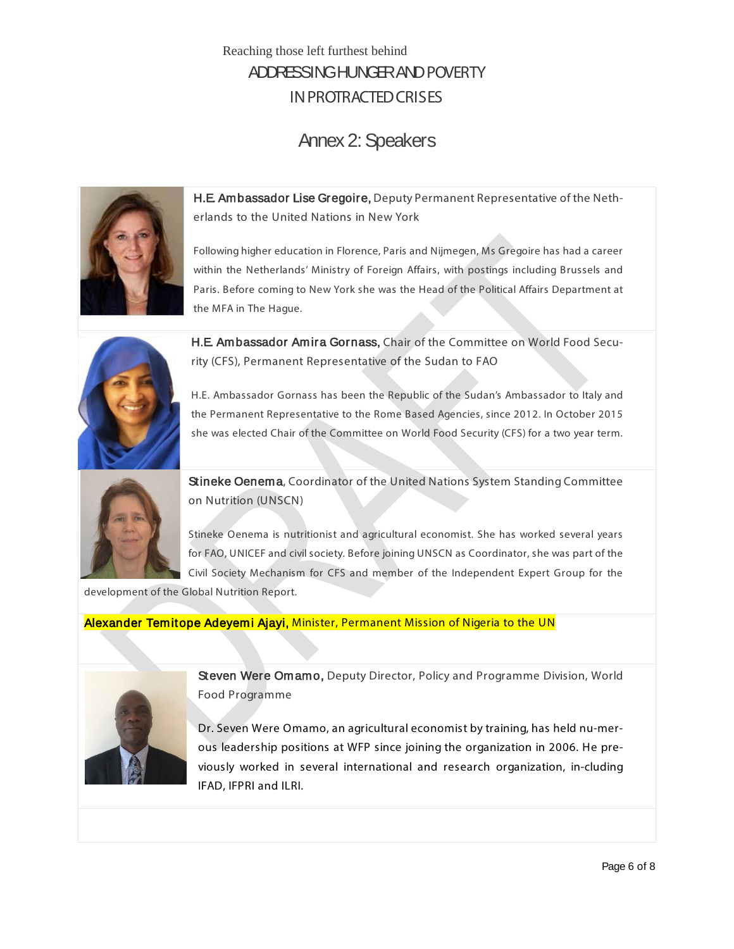## Annex 2: Speakers



H.E. Ambassador Lise Gregoire, Deputy Permanent Representative of the Netherlands to the United Nations in New York

Following higher education in Florence, Paris and Nijmegen, Ms Gregoire has had a career within the Netherlands' Ministry of Foreign Affairs, with postings including Brussels and Paris. Before coming to New York she was the Head of the Political Affairs Department at the MFA in The Hague.



H.E. Ambassador Amira Gornass, Chair of the Committee on World Food Security (CFS), Permanent Representative of the Sudan to FAO

H.E. Ambassador Gornass has been the Republic of the Sudan's Ambassador to Italy and the Permanent Representative to the Rome Based Agencies, since 2012. In October 2015 she was elected Chair of the Committee on World Food Security (CFS) for a two year term.



Stineke Oenema, Coordinator of the United Nations System Standing Committee on Nutrition (UNSCN)

Stineke Oenema is nutritionist and agricultural economist. She has worked several years for FAO, UNICEF and civil society. Before joining UNSCN as Coordinator, she was part of the Civil Society Mechanism for CFS and member of the Independent Expert Group for the

development of the Global Nutrition Report.

Alexander Temitope Adeyemi Ajayi, Minister, Permanent Mission of Nigeria to the UN



Steven Were Omamo, Deputy Director, Policy and Programme Division, World Food Programme

Dr. Seven Were Omamo, an agricultural economist by training, has held nu-merous leadership positions at WFP since joining the organization in 2006. He previously worked in several international and research organization, in-cluding IFAD, IFPRI and ILRI.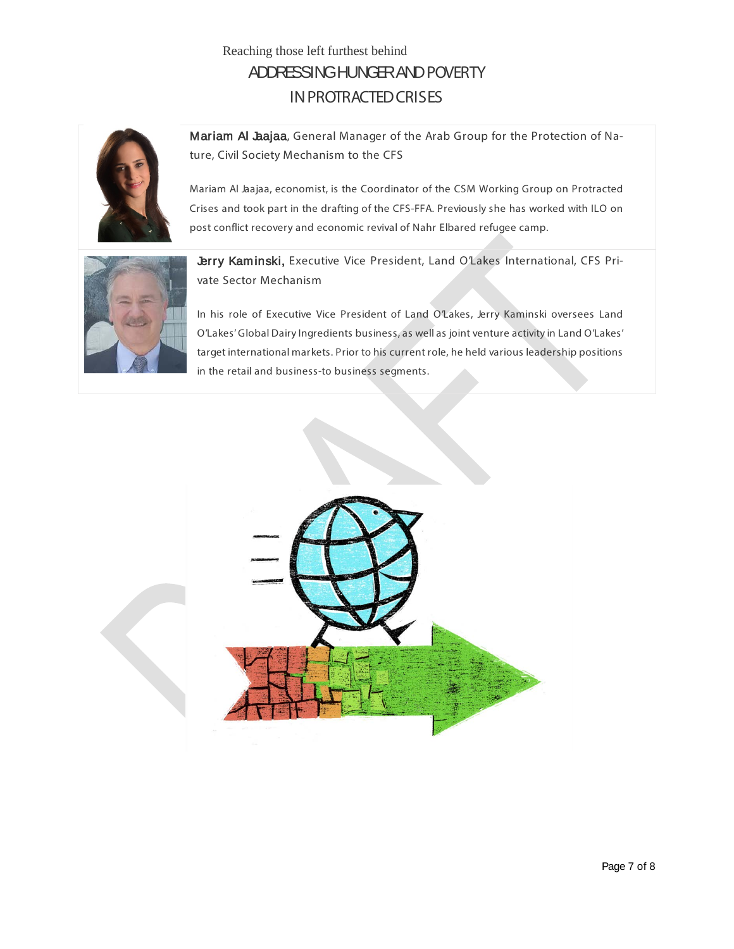

Mariam Al Jaajaa, General Manager of the Arab Group for the Protection of Nature, Civil Society Mechanism to the CFS

Mariam Al Jaajaa, economist, is the Coordinator of the CSM Working Group on Protracted Crises and took part in the drafting of the CFS-FFA. Previously she has worked with ILO on post conflict recovery and economic revival of Nahr Elbared refugee camp.



Jerry Kaminski, Executive Vice President, Land O'Lakes International, CFS Private Sector Mechanism

In his role of Executive Vice President of Land O'Lakes, Jerry Kaminski oversees Land O'Lakes' Global Dairy Ingredients business, as well as joint venture activity in Land O'Lakes' target international markets. Prior to his current role, he held various leadership positions in the retail and business-to business segments.